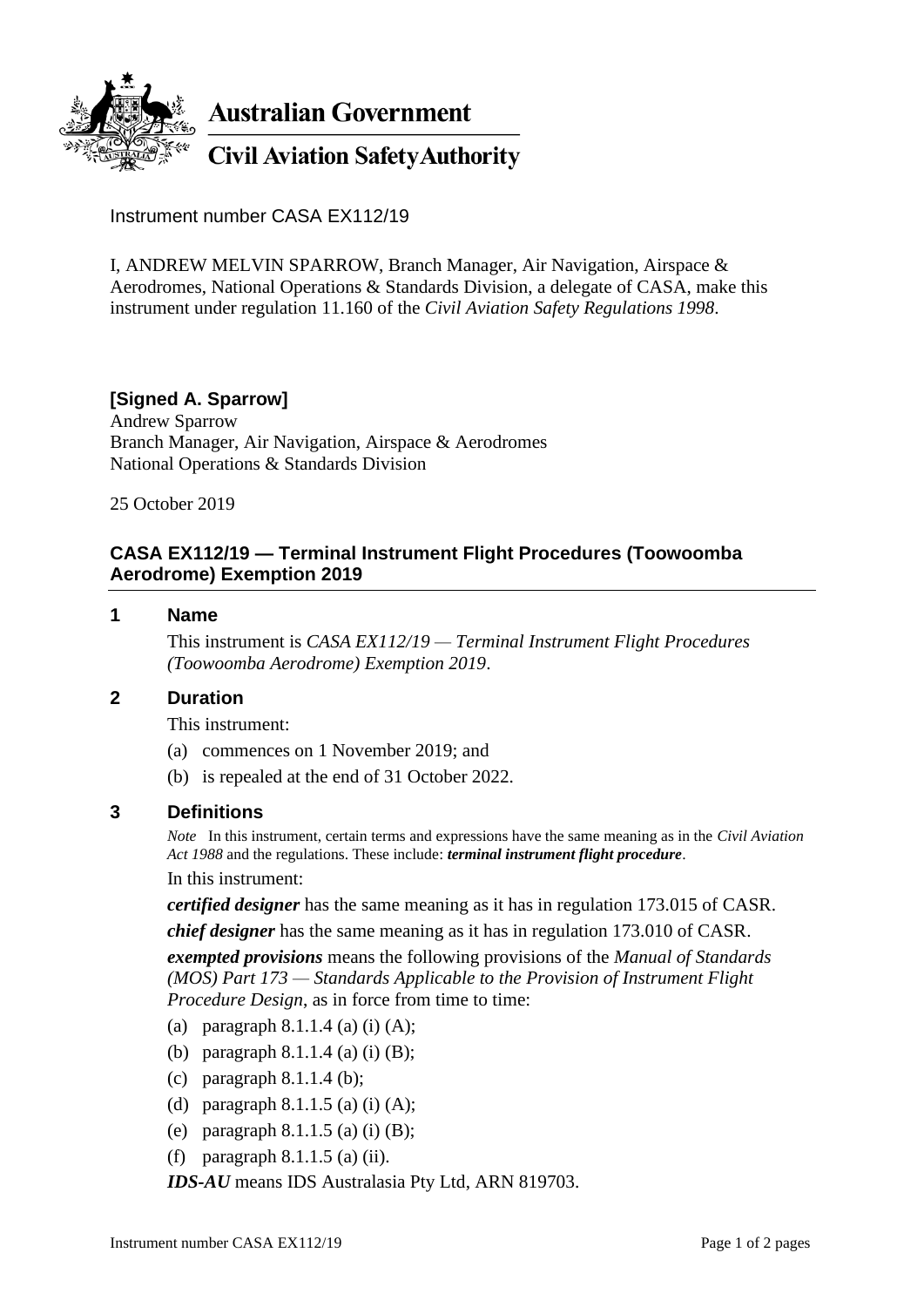

Instrument number CASA EX112/19

I, ANDREW MELVIN SPARROW, Branch Manager, Air Navigation, Airspace & Aerodromes, National Operations & Standards Division, a delegate of CASA, make this instrument under regulation 11.160 of the *Civil Aviation Safety Regulations 1998*.

## **[Signed A. Sparrow]**

Andrew Sparrow Branch Manager, Air Navigation, Airspace & Aerodromes National Operations & Standards Division

25 October 2019

## **CASA EX112/19 — Terminal Instrument Flight Procedures (Toowoomba Aerodrome) Exemption 2019**

#### **1 Name**

This instrument is *CASA EX112/19 — Terminal Instrument Flight Procedures (Toowoomba Aerodrome) Exemption 2019*.

### **2 Duration**

This instrument:

- (a) commences on 1 November 2019; and
- (b) is repealed at the end of 31 October 2022.

### **3 Definitions**

*Note* In this instrument, certain terms and expressions have the same meaning as in the *Civil Aviation Act 1988* and the regulations. These include: *terminal instrument flight procedure*.

In this instrument:

*certified designer* has the same meaning as it has in regulation 173.015 of CASR.

*chief designer* has the same meaning as it has in regulation 173.010 of CASR.

*exempted provisions* means the following provisions of the *Manual of Standards (MOS) Part 173 — Standards Applicable to the Provision of Instrument Flight Procedure Design*, as in force from time to time:

- (a) paragraph  $8.1.1.4$  (a) (i) (A);
- (b) paragraph 8.1.1.4 (a) (i) (B);
- (c) paragraph 8.1.1.4 (b);
- (d) paragraph  $8.1.1.5$  (a) (i) (A);
- (e) paragraph  $8.1.1.5$  (a) (i) (B);
- (f) paragraph  $8.1.1.5$  (a) (ii).

*IDS-AU* means IDS Australasia Pty Ltd, ARN 819703.